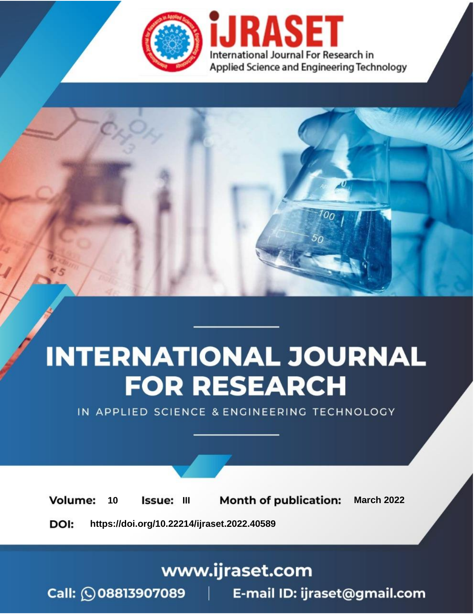

# **INTERNATIONAL JOURNAL FOR RESEARCH**

IN APPLIED SCIENCE & ENGINEERING TECHNOLOGY

10 **Issue: III Month of publication:** March 2022 **Volume:** 

**https://doi.org/10.22214/ijraset.2022.40589**DOI:

www.ijraset.com

Call: 008813907089 | E-mail ID: ijraset@gmail.com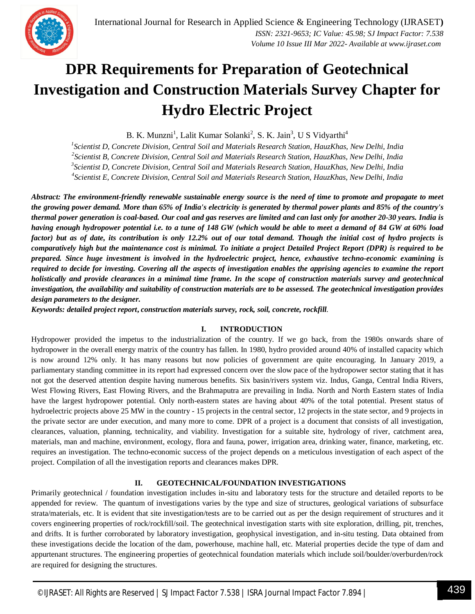### **DPR Requirements for Preparation of Geotechnical Investigation and Construction Materials Survey Chapter for Hydro Electric Project**

B. K. Munzni<sup>1</sup>, Lalit Kumar Solanki<sup>2</sup>, S. K. Jain<sup>3</sup>, U S Vidyarthi<sup>4</sup>

*1 Scientist D, Concrete Division, Central Soil and Materials Research Station, HauzKhas, New Delhi, India*

*2 Scientist B, Concrete Division, Central Soil and Materials Research Station, HauzKhas, New Delhi, India*

*3 Scientist D, Concrete Division, Central Soil and Materials Research Station, HauzKhas, New Delhi, India*

*4 Scientist E, Concrete Division, Central Soil and Materials Research Station, HauzKhas, New Delhi, India*

*Abstract: The environment-friendly renewable sustainable energy source is the need of time to promote and propagate to meet the growing power demand. More than 65% of India's electricity is generated by thermal power plants and 85% of the country's thermal power generation is coal-based. Our coal and gas reserves are limited and can last only for another 20-30 years. India is having enough hydropower potential i.e. to a tune of 148 GW (which would be able to meet a demand of 84 GW at 60% load factor) but as of date, its contribution is only 12.2% out of our total demand. Though the initial cost of hydro projects is comparatively high but the maintenance cost is minimal. To initiate a project Detailed Project Report (DPR) is required to be prepared. Since huge investment is involved in the hydroelectric project, hence, exhaustive techno-economic examining is required to decide for investing. Covering all the aspects of investigation enables the apprising agencies to examine the report holistically and provide clearances in a minimal time frame. In the scope of construction materials survey and geotechnical investigation, the availability and suitability of construction materials are to be assessed. The geotechnical investigation provides design parameters to the designer.*

*Keywords: detailed project report***,** *construction materials survey, rock, soil, concrete, rockfill.*

#### **I. INTRODUCTION**

Hydropower provided the impetus to the industrialization of the country. If we go back, from the 1980s onwards share of hydropower in the overall energy matrix of the country has fallen. In 1980, hydro provided around 40% of installed capacity which is now around 12% only. It has many reasons but now policies of government are quite encouraging. In January 2019, a parliamentary standing committee in its report had expressed concern over the slow pace of the hydropower sector stating that it has not got the deserved attention despite having numerous benefits. Six basin/rivers system viz. Indus, Ganga, Central India Rivers, West Flowing Rivers, East Flowing Rivers, and the Brahmaputra are prevailing in India. North and North Eastern states of India have the largest hydropower potential. Only north-eastern states are having about 40% of the total potential. Present status of hydroelectric projects above 25 MW in the country - 15 projects in the central sector, 12 projects in the state sector, and 9 projects in the private sector are under execution, and many more to come. DPR of a project is a document that consists of all investigation, clearances, valuation, planning, technicality, and viability. Investigation for a suitable site, hydrology of river, catchment area, materials, man and machine, environment, ecology, flora and fauna, power, irrigation area, drinking water, finance, marketing, etc. requires an investigation. The techno-economic success of the project depends on a meticulous investigation of each aspect of the project. Compilation of all the investigation reports and clearances makes DPR.

#### **II. GEOTECHNICAL/FOUNDATION INVESTIGATIONS**

Primarily geotechnical / foundation investigation includes in-situ and laboratory tests for the structure and detailed reports to be appended for review. The quantum of investigations varies by the type and size of structures, geological variations of subsurface strata/materials, etc. It is evident that site investigation/tests are to be carried out as per the design requirement of structures and it covers engineering properties of rock/rockfill/soil. The geotechnical investigation starts with site exploration, drilling, pit, trenches, and drifts. It is further corroborated by laboratory investigation, geophysical investigation, and in-situ testing. Data obtained from these investigations decide the location of the dam, powerhouse, machine hall, etc. Material properties decide the type of dam and appurtenant structures. The engineering properties of geotechnical foundation materials which include soil/boulder/overburden/rock are required for designing the structures.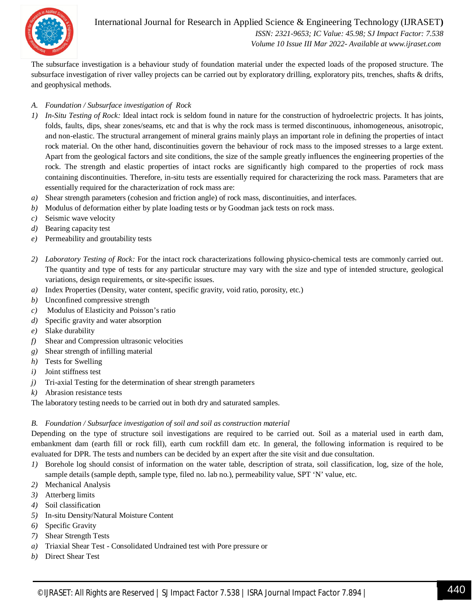

International Journal for Research in Applied Science & Engineering Technology (IJRASET**)**  *ISSN: 2321-9653; IC Value: 45.98; SJ Impact Factor: 7.538 Volume 10 Issue III Mar 2022- Available at www.ijraset.com*

The subsurface investigation is a behaviour study of foundation material under the expected loads of the proposed structure. The subsurface investigation of river valley projects can be carried out by exploratory drilling, exploratory pits, trenches, shafts & drifts, and geophysical methods.

#### *A. Foundation / Subsurface investigation of Rock*

- *1) In-Situ Testing of Rock:* Ideal intact rock is seldom found in nature for the construction of hydroelectric projects. It has joints, folds, faults, dips, shear zones/seams, etc and that is why the rock mass is termed discontinuous, inhomogeneous, anisotropic, and non-elastic. The structural arrangement of mineral grains mainly plays an important role in defining the properties of intact rock material. On the other hand, discontinuities govern the behaviour of rock mass to the imposed stresses to a large extent. Apart from the geological factors and site conditions, the size of the sample greatly influences the engineering properties of the rock. The strength and elastic properties of intact rocks are significantly high compared to the properties of rock mass containing discontinuities. Therefore, in-situ tests are essentially required for characterizing the rock mass. Parameters that are essentially required for the characterization of rock mass are:
- *a)* Shear strength parameters (cohesion and friction angle) of rock mass, discontinuities, and interfaces.
- *b)* Modulus of deformation either by plate loading tests or by Goodman jack tests on rock mass.
- *c)* Seismic wave velocity
- *d)* Bearing capacity test
- *e)* Permeability and groutability tests
- *2) Laboratory Testing of Rock:* For the intact rock characterizations following physico-chemical tests are commonly carried out. The quantity and type of tests for any particular structure may vary with the size and type of intended structure, geological variations, design requirements, or site-specific issues.
- *a)* Index Properties (Density, water content, specific gravity, void ratio, porosity, etc.)
- *b)* Unconfined compressive strength
- *c)* Modulus of Elasticity and Poisson's ratio
- *d)* Specific gravity and water absorption
- *e)* Slake durability
- *f)* Shear and Compression ultrasonic velocities
- *g)* Shear strength of infilling material
- *h)* Tests for Swelling
- *i)* Joint stiffness test
- *j)* Tri-axial Testing for the determination of shear strength parameters
- *k)* Abrasion resistance tests

The laboratory testing needs to be carried out in both dry and saturated samples.

#### *B. Foundation / Subsurface investigation of soil and soil as construction material*

Depending on the type of structure soil investigations are required to be carried out. Soil as a material used in earth dam, embankment dam (earth fill or rock fill), earth cum rockfill dam etc. In general, the following information is required to be evaluated for DPR. The tests and numbers can be decided by an expert after the site visit and due consultation.

- *1)* Borehole log should consist of information on the water table, description of strata, soil classification, log, size of the hole, sample details (sample depth, sample type, filed no. lab no.), permeability value, SPT 'N' value, etc.
- *2)* Mechanical Analysis
- *3)* Atterberg limits
- *4)* Soil classification
- *5)* In-situ Density/Natural Moisture Content
- *6)* Specific Gravity
- *7)* Shear Strength Tests
- *a)* Triaxial Shear Test Consolidated Undrained test with Pore pressure or
- *b)* Direct Shear Test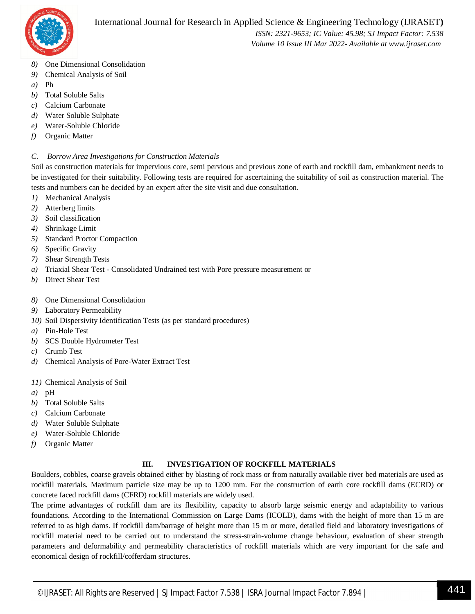

 *ISSN: 2321-9653; IC Value: 45.98; SJ Impact Factor: 7.538 Volume 10 Issue III Mar 2022- Available at www.ijraset.com*

- *8)* One Dimensional Consolidation
- *9)* Chemical Analysis of Soil
- *a)* Ph
- *b)* Total Soluble Salts
- *c)* Calcium Carbonate
- *d)* Water Soluble Sulphate
- *e)* Water-Soluble Chloride
- *f)* Organic Matter

#### *C. Borrow Area Investigations for Construction Materials*

Soil as construction materials for impervious core, semi pervious and previous zone of earth and rockfill dam, embankment needs to be investigated for their suitability. Following tests are required for ascertaining the suitability of soil as construction material. The tests and numbers can be decided by an expert after the site visit and due consultation.

- *1)* Mechanical Analysis
- *2)* Atterberg limits
- *3)* Soil classification
- *4)* Shrinkage Limit
- *5)* Standard Proctor Compaction
- *6)* Specific Gravity
- *7)* Shear Strength Tests
- *a)* Triaxial Shear Test Consolidated Undrained test with Pore pressure measurement or
- *b)* Direct Shear Test
- *8)* One Dimensional Consolidation
- *9)* Laboratory Permeability
- *10)* Soil Dispersivity Identification Tests (as per standard procedures)
- *a)* Pin-Hole Test
- *b)* SCS Double Hydrometer Test
- *c)* Crumb Test
- *d)* Chemical Analysis of Pore-Water Extract Test
- *11)* Chemical Analysis of Soil
- *a)* pH
- *b)* Total Soluble Salts
- *c)* Calcium Carbonate
- *d)* Water Soluble Sulphate
- *e)* Water-Soluble Chloride
- *f)* Organic Matter

#### **III. INVESTIGATION OF ROCKFILL MATERIALS**

Boulders, cobbles, coarse gravels obtained either by blasting of rock mass or from naturally available river bed materials are used as rockfill materials. Maximum particle size may be up to 1200 mm. For the construction of earth core rockfill dams (ECRD) or concrete faced rockfill dams (CFRD) rockfill materials are widely used.

The prime advantages of rockfill dam are its flexibility, capacity to absorb large seismic energy and adaptability to various foundations. According to the International Commission on Large Dams (ICOLD), dams with the height of more than 15 m are referred to as high dams. If rockfill dam/barrage of height more than 15 m or more, detailed field and laboratory investigations of rockfill material need to be carried out to understand the stress-strain-volume change behaviour, evaluation of shear strength parameters and deformability and permeability characteristics of rockfill materials which are very important for the safe and economical design of rockfill/cofferdam structures.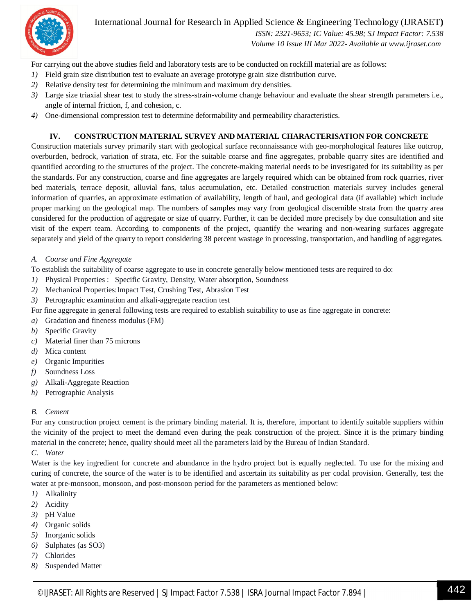

International Journal for Research in Applied Science & Engineering Technology (IJRASET**)**

 *ISSN: 2321-9653; IC Value: 45.98; SJ Impact Factor: 7.538 Volume 10 Issue III Mar 2022- Available at www.ijraset.com*

For carrying out the above studies field and laboratory tests are to be conducted on rockfill material are as follows:

- *1)* Field grain size distribution test to evaluate an average prototype grain size distribution curve.
- *2)* Relative density test for determining the minimum and maximum dry densities.
- *3)* Large size triaxial shear test to study the stress-strain-volume change behaviour and evaluate the shear strength parameters i.e., angle of internal friction, f, and cohesion, c.
- *4)* One-dimensional compression test to determine deformability and permeability characteristics.

#### **IV. CONSTRUCTION MATERIAL SURVEY AND MATERIAL CHARACTERISATION FOR CONCRETE**

Construction materials survey primarily start with geological surface reconnaissance with geo-morphological features like outcrop, overburden, bedrock, variation of strata, etc. For the suitable coarse and fine aggregates, probable quarry sites are identified and quantified according to the structures of the project. The concrete-making material needs to be investigated for its suitability as per the standards. For any construction, coarse and fine aggregates are largely required which can be obtained from rock quarries, river bed materials, terrace deposit, alluvial fans, talus accumulation, etc. Detailed construction materials survey includes general information of quarries, an approximate estimation of availability, length of haul, and geological data (if available) which include proper marking on the geological map. The numbers of samples may vary from geological discernible strata from the quarry area considered for the production of aggregate or size of quarry. Further, it can be decided more precisely by due consultation and site visit of the expert team. According to components of the project, quantify the wearing and non-wearing surfaces aggregate separately and yield of the quarry to report considering 38 percent wastage in processing, transportation, and handling of aggregates.

*A. Coarse and Fine Aggregate*

To establish the suitability of coarse aggregate to use in concrete generally below mentioned tests are required to do:

- *1)* Physical Properties : Specific Gravity, Density, Water absorption, Soundness
- *2)* Mechanical Properties:Impact Test, Crushing Test, Abrasion Test
- *3)* Petrographic examination and alkali-aggregate reaction test

For fine aggregate in general following tests are required to establish suitability to use as fine aggregate in concrete:

- *a)* Gradation and fineness modulus (FM)
- *b)* Specific Gravity
- *c)* Material finer than 75 microns
- *d)* Mica content
- *e)* Organic Impurities
- *f)* Soundness Loss
- *g)* Alkali-Aggregate Reaction
- *h)* Petrographic Analysis

#### *B. Cement*

For any construction project cement is the primary binding material. It is, therefore, important to identify suitable suppliers within the vicinity of the project to meet the demand even during the peak construction of the project. Since it is the primary binding material in the concrete; hence, quality should meet all the parameters laid by the Bureau of Indian Standard.

*C. Water*

Water is the key ingredient for concrete and abundance in the hydro project but is equally neglected. To use for the mixing and curing of concrete, the source of the water is to be identified and ascertain its suitability as per codal provision. Generally, test the water at pre-monsoon, monsoon, and post-monsoon period for the parameters as mentioned below:

- *1)* Alkalinity
- *2)* Acidity
- *3)* pH Value
- *4)* Organic solids
- *5)* Inorganic solids
- *6)* Sulphates (as SO3)
- *7)* Chlorides
- *8)* Suspended Matter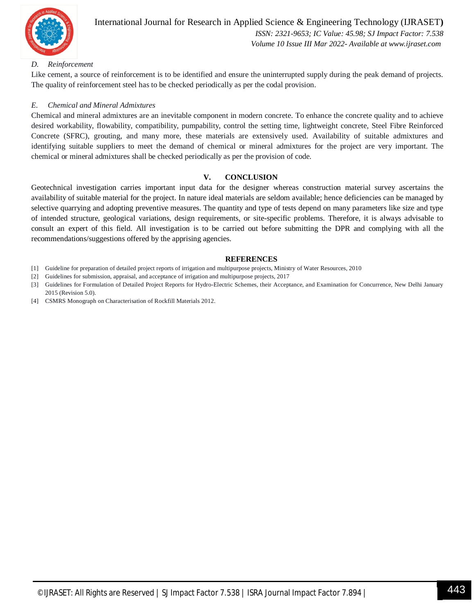

#### International Journal for Research in Applied Science & Engineering Technology (IJRASET**)**  *ISSN: 2321-9653; IC Value: 45.98; SJ Impact Factor: 7.538 Volume 10 Issue III Mar 2022- Available at www.ijraset.com*

#### *D. Reinforcement*

Like cement, a source of reinforcement is to be identified and ensure the uninterrupted supply during the peak demand of projects. The quality of reinforcement steel has to be checked periodically as per the codal provision.

#### *E. Chemical and Mineral Admixtures*

Chemical and mineral admixtures are an inevitable component in modern concrete. To enhance the concrete quality and to achieve desired workability, flowability, compatibility, pumpability, control the setting time, lightweight concrete, Steel Fibre Reinforced Concrete (SFRC), grouting, and many more, these materials are extensively used. Availability of suitable admixtures and identifying suitable suppliers to meet the demand of chemical or mineral admixtures for the project are very important. The chemical or mineral admixtures shall be checked periodically as per the provision of code.

#### **V. CONCLUSION**

Geotechnical investigation carries important input data for the designer whereas construction material survey ascertains the availability of suitable material for the project. In nature ideal materials are seldom available; hence deficiencies can be managed by selective quarrying and adopting preventive measures. The quantity and type of tests depend on many parameters like size and type of intended structure, geological variations, design requirements, or site-specific problems. Therefore, it is always advisable to consult an expert of this field. All investigation is to be carried out before submitting the DPR and complying with all the recommendations/suggestions offered by the apprising agencies.

#### **REFERENCES**

- [1] Guideline for preparation of detailed project reports of irrigation and multipurpose projects, Ministry of Water Resources, 2010
- [2] Guidelines for submission, appraisal, and acceptance of irrigation and multipurpose projects, 2017

[3] Guidelines for Formulation of Detailed Project Reports for Hydro-Electric Schemes, their Acceptance, and Examination for Concurrence, New Delhi January 2015 (Revision 5.0).

[4] CSMRS Monograph on Characterisation of Rockfill Materials 2012.